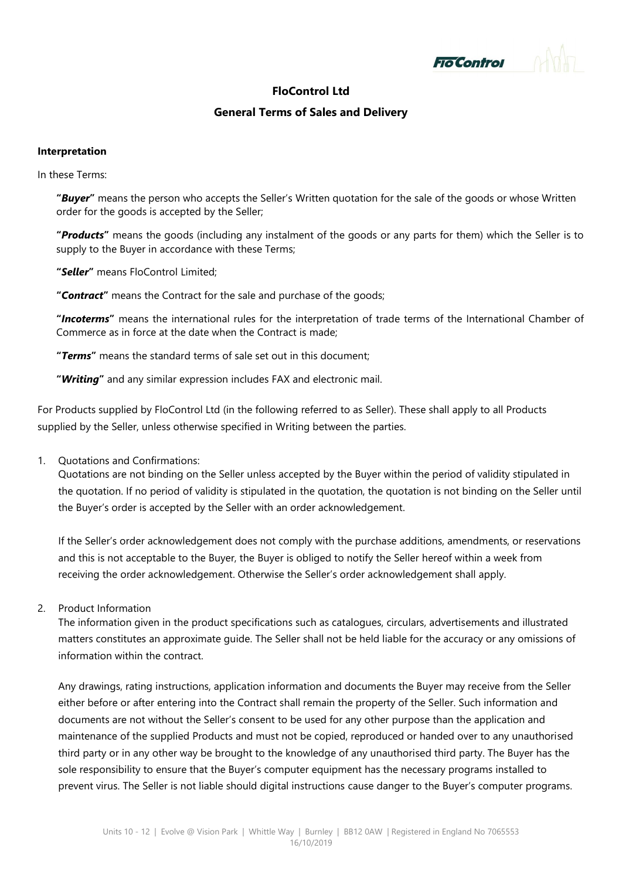

# **FloControl Ltd**

### **General Terms of Sales and Delivery**

#### **Interpretation**

In these Terms:

**"***Buyer***"** means the person who accepts the Seller's Written quotation for the sale of the goods or whose Written order for the goods is accepted by the Seller;

**"***Products***"** means the goods (including any instalment of the goods or any parts for them) which the Seller is to supply to the Buyer in accordance with these Terms;

**"***Seller***"** means FloControl Limited;

**"***Contract***"** means the Contract for the sale and purchase of the goods;

**"***Incoterms***"** means the international rules for the interpretation of trade terms of the International Chamber of Commerce as in force at the date when the Contract is made;

**"***Terms***"** means the standard terms of sale set out in this document;

**"***Writing***"** and any similar expression includes FAX and electronic mail.

For Products supplied by FloControl Ltd (in the following referred to as Seller). These shall apply to all Products supplied by the Seller, unless otherwise specified in Writing between the parties.

1. Quotations and Confirmations:

Quotations are not binding on the Seller unless accepted by the Buyer within the period of validity stipulated in the quotation. If no period of validity is stipulated in the quotation, the quotation is not binding on the Seller until the Buyer's order is accepted by the Seller with an order acknowledgement.

If the Seller's order acknowledgement does not comply with the purchase additions, amendments, or reservations and this is not acceptable to the Buyer, the Buyer is obliged to notify the Seller hereof within a week from receiving the order acknowledgement. Otherwise the Seller's order acknowledgement shall apply.

2. Product Information

The information given in the product specifications such as catalogues, circulars, advertisements and illustrated matters constitutes an approximate guide. The Seller shall not be held liable for the accuracy or any omissions of information within the contract.

Any drawings, rating instructions, application information and documents the Buyer may receive from the Seller either before or after entering into the Contract shall remain the property of the Seller. Such information and documents are not without the Seller's consent to be used for any other purpose than the application and maintenance of the supplied Products and must not be copied, reproduced or handed over to any unauthorised third party or in any other way be brought to the knowledge of any unauthorised third party. The Buyer has the sole responsibility to ensure that the Buyer's computer equipment has the necessary programs installed to prevent virus. The Seller is not liable should digital instructions cause danger to the Buyer's computer programs.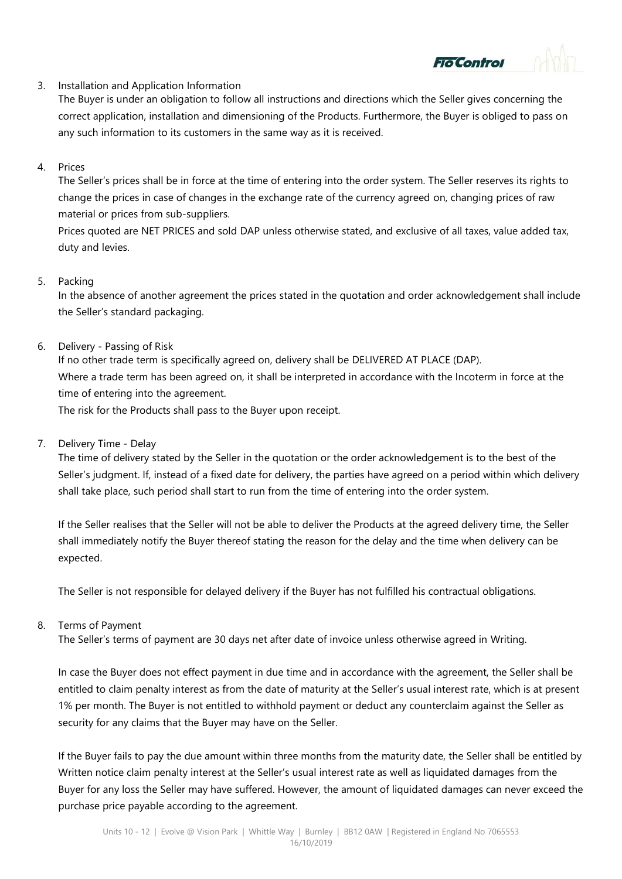### 3. Installation and Application Information

The Buyer is under an obligation to follow all instructions and directions which the Seller gives concerning the correct application, installation and dimensioning of the Products. Furthermore, the Buyer is obliged to pass on any such information to its customers in the same way as it is received.

**o Control** 

# 4. Prices

The Seller's prices shall be in force at the time of entering into the order system. The Seller reserves its rights to change the prices in case of changes in the exchange rate of the currency agreed on, changing prices of raw material or prices from sub-suppliers.

Prices quoted are NET PRICES and sold DAP unless otherwise stated, and exclusive of all taxes, value added tax, duty and levies.

### 5. Packing

In the absence of another agreement the prices stated in the quotation and order acknowledgement shall include the Seller's standard packaging.

# 6. Delivery - Passing of Risk

If no other trade term is specifically agreed on, delivery shall be DELIVERED AT PLACE (DAP). Where a trade term has been agreed on, it shall be interpreted in accordance with the Incoterm in force at the time of entering into the agreement.

The risk for the Products shall pass to the Buyer upon receipt.

# 7. Delivery Time - Delay

The time of delivery stated by the Seller in the quotation or the order acknowledgement is to the best of the Seller's judgment. If, instead of a fixed date for delivery, the parties have agreed on a period within which delivery shall take place, such period shall start to run from the time of entering into the order system.

If the Seller realises that the Seller will not be able to deliver the Products at the agreed delivery time, the Seller shall immediately notify the Buyer thereof stating the reason for the delay and the time when delivery can be expected.

The Seller is not responsible for delayed delivery if the Buyer has not fulfilled his contractual obligations.

### 8. Terms of Payment

The Seller's terms of payment are 30 days net after date of invoice unless otherwise agreed in Writing.

In case the Buyer does not effect payment in due time and in accordance with the agreement, the Seller shall be entitled to claim penalty interest as from the date of maturity at the Seller's usual interest rate, which is at present 1% per month. The Buyer is not entitled to withhold payment or deduct any counterclaim against the Seller as security for any claims that the Buyer may have on the Seller.

If the Buyer fails to pay the due amount within three months from the maturity date, the Seller shall be entitled by Written notice claim penalty interest at the Seller's usual interest rate as well as liquidated damages from the Buyer for any loss the Seller may have suffered. However, the amount of liquidated damages can never exceed the purchase price payable according to the agreement.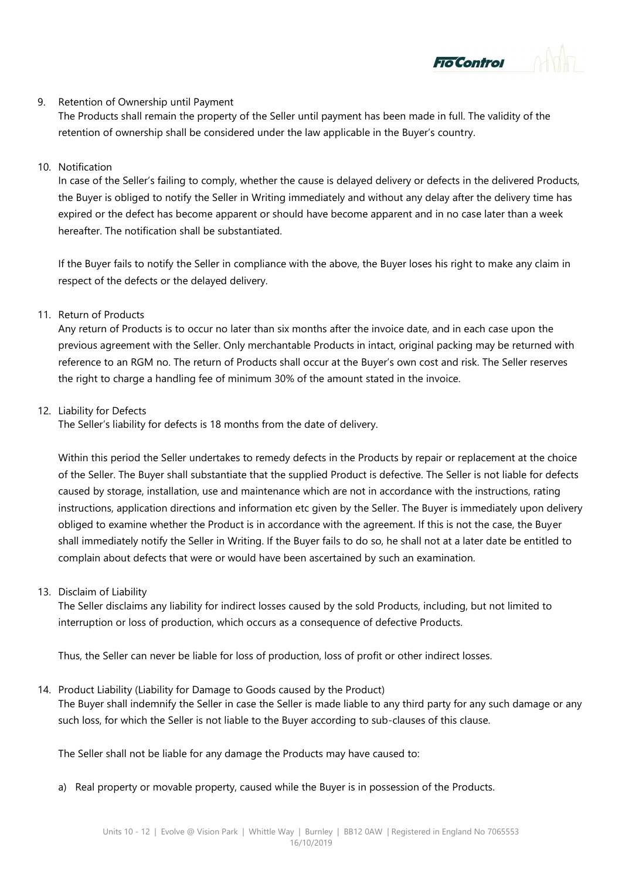#### 9. Retention of Ownership until Payment

The Products shall remain the property of the Seller until payment has been made in full. The validity of the retention of ownership shall be considered under the law applicable in the Buyer's country.

**To Control** 

### 10. Notification

In case of the Seller's failing to comply, whether the cause is delayed delivery or defects in the delivered Products, the Buyer is obliged to notify the Seller in Writing immediately and without any delay after the delivery time has expired or the defect has become apparent or should have become apparent and in no case later than a week hereafter. The notification shall be substantiated.

If the Buyer fails to notify the Seller in compliance with the above, the Buyer loses his right to make any claim in respect of the defects or the delayed delivery.

### 11. Return of Products

Any return of Products is to occur no later than six months after the invoice date, and in each case upon the previous agreement with the Seller. Only merchantable Products in intact, original packing may be returned with reference to an RGM no. The return of Products shall occur at the Buyer's own cost and risk. The Seller reserves the right to charge a handling fee of minimum 30% of the amount stated in the invoice.

### 12. Liability for Defects

The Seller's liability for defects is 18 months from the date of delivery.

Within this period the Seller undertakes to remedy defects in the Products by repair or replacement at the choice of the Seller. The Buyer shall substantiate that the supplied Product is defective. The Seller is not liable for defects caused by storage, installation, use and maintenance which are not in accordance with the instructions, rating instructions, application directions and information etc given by the Seller. The Buyer is immediately upon delivery obliged to examine whether the Product is in accordance with the agreement. If this is not the case, the Buyer shall immediately notify the Seller in Writing. If the Buyer fails to do so, he shall not at a later date be entitled to complain about defects that were or would have been ascertained by such an examination.

### 13. Disclaim of Liability

The Seller disclaims any liability for indirect losses caused by the sold Products, including, but not limited to interruption or loss of production, which occurs as a consequence of defective Products.

Thus, the Seller can never be liable for loss of production, loss of profit or other indirect losses.

### 14. Product Liability (Liability for Damage to Goods caused by the Product)

The Buyer shall indemnify the Seller in case the Seller is made liable to any third party for any such damage or any such loss, for which the Seller is not liable to the Buyer according to sub-clauses of this clause.

The Seller shall not be liable for any damage the Products may have caused to:

a) Real property or movable property, caused while the Buyer is in possession of the Products.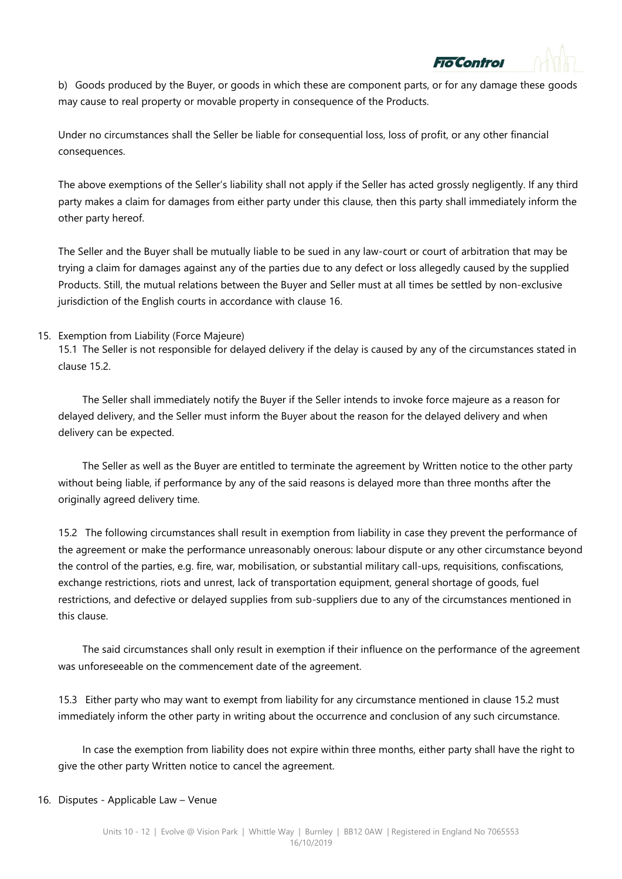b) Goods produced by the Buyer, or goods in which these are component parts, or for any damage these goods may cause to real property or movable property in consequence of the Products.

ontrol

Under no circumstances shall the Seller be liable for consequential loss, loss of profit, or any other financial consequences.

The above exemptions of the Seller's liability shall not apply if the Seller has acted grossly negligently. If any third party makes a claim for damages from either party under this clause, then this party shall immediately inform the other party hereof.

The Seller and the Buyer shall be mutually liable to be sued in any law-court or court of arbitration that may be trying a claim for damages against any of the parties due to any defect or loss allegedly caused by the supplied Products. Still, the mutual relations between the Buyer and Seller must at all times be settled by non-exclusive jurisdiction of the English courts in accordance with clause 16.

#### 15. Exemption from Liability (Force Majeure)

15.1 The Seller is not responsible for delayed delivery if the delay is caused by any of the circumstances stated in clause 15.2.

The Seller shall immediately notify the Buyer if the Seller intends to invoke force majeure as a reason for delayed delivery, and the Seller must inform the Buyer about the reason for the delayed delivery and when delivery can be expected.

The Seller as well as the Buyer are entitled to terminate the agreement by Written notice to the other party without being liable, if performance by any of the said reasons is delayed more than three months after the originally agreed delivery time.

15.2 The following circumstances shall result in exemption from liability in case they prevent the performance of the agreement or make the performance unreasonably onerous: labour dispute or any other circumstance beyond the control of the parties, e.g. fire, war, mobilisation, or substantial military call-ups, requisitions, confiscations, exchange restrictions, riots and unrest, lack of transportation equipment, general shortage of goods, fuel restrictions, and defective or delayed supplies from sub-suppliers due to any of the circumstances mentioned in this clause.

The said circumstances shall only result in exemption if their influence on the performance of the agreement was unforeseeable on the commencement date of the agreement.

15.3 Either party who may want to exempt from liability for any circumstance mentioned in clause 15.2 must immediately inform the other party in writing about the occurrence and conclusion of any such circumstance.

In case the exemption from liability does not expire within three months, either party shall have the right to give the other party Written notice to cancel the agreement.

#### 16. Disputes - Applicable Law – Venue